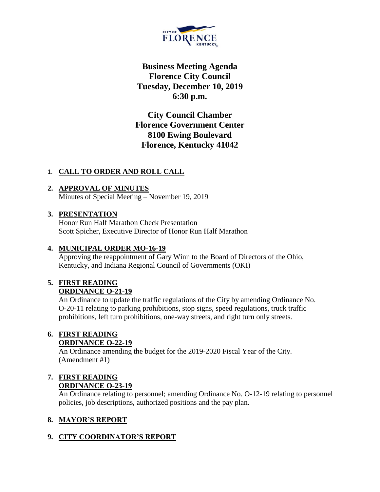

**Business Meeting Agenda Florence City Council Tuesday, December 10, 2019 6:30 p.m.**

**City Council Chamber Florence Government Center 8100 Ewing Boulevard Florence, Kentucky 41042**

#### 1. **CALL TO ORDER AND ROLL CALL**

# **2. APPROVAL OF MINUTES**

Minutes of Special Meeting – November 19, 2019

#### **3. PRESENTATION**

Honor Run Half Marathon Check Presentation Scott Spicher, Executive Director of Honor Run Half Marathon

### **4. MUNICIPAL ORDER MO-16-19**

Approving the reappointment of Gary Winn to the Board of Directors of the Ohio, Kentucky, and Indiana Regional Council of Governments (OKI)

#### **5. FIRST READING ORDINANCE O-21-19**

An Ordinance to update the traffic regulations of the City by amending Ordinance No. O-20-11 relating to parking prohibitions, stop signs, speed regulations, truck traffic prohibitions, left turn prohibitions, one-way streets, and right turn only streets.

#### **6. FIRST READING ORDINANCE O-22-19**

An Ordinance amending the budget for the 2019-2020 Fiscal Year of the City. (Amendment #1)

#### **7. FIRST READING ORDINANCE O-23-19**

An Ordinance relating to personnel; amending Ordinance No. O-12-19 relating to personnel policies, job descriptions, authorized positions and the pay plan.

## **8. MAYOR'S REPORT**

## **9. CITY COORDINATOR'S REPORT**